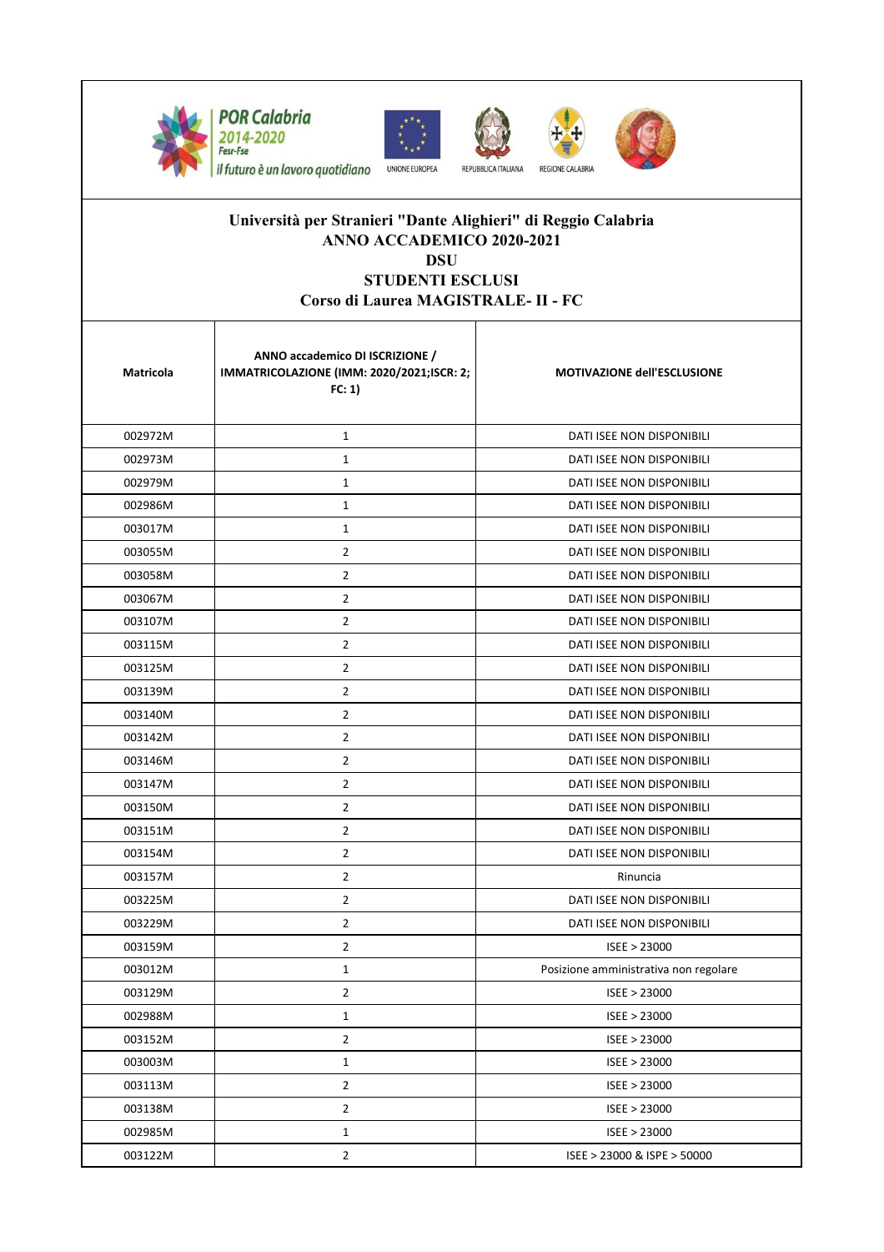









## **Università per Stranieri "Dante Alighieri" di Reggio Calabria ANNO ACCADEMICO 2020-2021 DSU**

**STUDENTI ESCLUSI Corso di Laurea MAGISTRALE- II - FC** 

| Matricola | ANNO accademico DI ISCRIZIONE /<br>IMMATRICOLAZIONE (IMM: 2020/2021;ISCR: 2;<br>FC: 1) | <b>MOTIVAZIONE dell'ESCLUSIONE</b>    |
|-----------|----------------------------------------------------------------------------------------|---------------------------------------|
| 002972M   | $\mathbf{1}$                                                                           | DATI ISEE NON DISPONIBILI             |
| 002973M   | $\mathbf{1}$                                                                           | DATI ISEE NON DISPONIBILI             |
| 002979M   | $\mathbf{1}$                                                                           | DATI ISEE NON DISPONIBILI             |
| 002986M   | $\mathbf{1}$                                                                           | DATI ISEE NON DISPONIBILI             |
| 003017M   | $\mathbf{1}$                                                                           | DATI ISEE NON DISPONIBILI             |
| 003055M   | $\overline{2}$                                                                         | DATI ISEE NON DISPONIBILI             |
| 003058M   | $\overline{2}$                                                                         | DATI ISEE NON DISPONIBILI             |
| 003067M   | $\overline{2}$                                                                         | DATI ISEE NON DISPONIBILI             |
| 003107M   | $\overline{2}$                                                                         | DATI ISEE NON DISPONIBILI             |
| 003115M   | $\overline{2}$                                                                         | DATI ISEE NON DISPONIBILI             |
| 003125M   | $\overline{2}$                                                                         | <b>DATI ISEE NON DISPONIBILI</b>      |
| 003139M   | $\overline{2}$                                                                         | DATI ISEE NON DISPONIBILI             |
| 003140M   | $\overline{2}$                                                                         | DATI ISEE NON DISPONIBILI             |
| 003142M   | $\overline{2}$                                                                         | DATI ISEE NON DISPONIBILI             |
| 003146M   | $\overline{2}$                                                                         | DATI ISEE NON DISPONIBILI             |
| 003147M   | $\overline{2}$                                                                         | DATI ISEE NON DISPONIBILI             |
| 003150M   | $\overline{2}$                                                                         | DATI ISEE NON DISPONIBILI             |
| 003151M   | $\overline{2}$                                                                         | DATI ISEE NON DISPONIBILI             |
| 003154M   | $\overline{2}$                                                                         | DATI ISEE NON DISPONIBILI             |
| 003157M   | $\overline{2}$                                                                         | Rinuncia                              |
| 003225M   | $\overline{2}$                                                                         | DATI ISEE NON DISPONIBILI             |
| 003229M   | $\overline{2}$                                                                         | DATI ISEE NON DISPONIBILI             |
| 003159M   | $\overline{2}$                                                                         | ISEE > 23000                          |
| 003012M   | $\mathbf{1}$                                                                           | Posizione amministrativa non regolare |
| 003129M   | 2                                                                                      | ISEE > 23000                          |
| 002988M   | $\mathbf{1}$                                                                           | ISEE > 23000                          |
| 003152M   | $\mathbf{2}$                                                                           | ISEE > 23000                          |
| 003003M   | $\mathbf{1}$                                                                           | ISEE > 23000                          |
| 003113M   | $\overline{2}$                                                                         | ISEE > 23000                          |
| 003138M   | $\overline{2}$                                                                         | ISEE > 23000                          |
| 002985M   | $\mathbf{1}$                                                                           | ISEE > 23000                          |
| 003122M   | $\overline{2}$                                                                         | ISEE > 23000 & ISPE > 50000           |